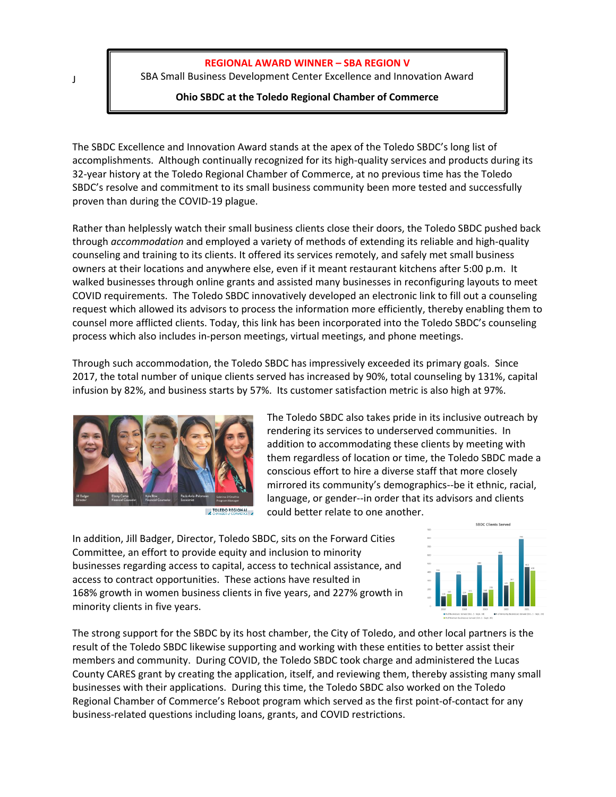## **REGIONAL AWARD WINNER – SBA REGION V**

SBA Small Business Development Center Excellence and Innovation Award

## **Ohio SBDC at the Toledo Regional Chamber of Commerce**

The SBDC Excellence and Innovation Award stands at the apex of the Toledo SBDC's long list of accomplishments. Although continually recognized for its high-quality services and products during its 32-year history at the Toledo Regional Chamber of Commerce, at no previous time has the Toledo SBDC's resolve and commitment to its small business community been more tested and successfully proven than during the COVID-19 plague.

Rather than helplessly watch their small business clients close their doors, the Toledo SBDC pushed back through *accommodation* and employed a variety of methods of extending its reliable and high-quality counseling and training to its clients. It offered its services remotely, and safely met small business owners at their locations and anywhere else, even if it meant restaurant kitchens after 5:00 p.m. It walked businesses through online grants and assisted many businesses in reconfiguring layouts to meet COVID requirements. The Toledo SBDC innovatively developed an electronic link to fill out a counseling request which allowed its advisors to process the information more efficiently, thereby enabling them to counsel more afflicted clients. Today, this link has been incorporated into the Toledo SBDC's counseling process which also includes in-person meetings, virtual meetings, and phone meetings.

Through such accommodation, the Toledo SBDC has impressively exceeded its primary goals. Since 2017, the total number of unique clients served has increased by 90%, total counseling by 131%, capital infusion by 82%, and business starts by 57%. Its customer satisfaction metric is also high at 97%.





The Toledo SBDC also takes pride in its inclusive outreach by rendering its services to underserved communities. In addition to accommodating these clients by meeting with them regardless of location or time, the Toledo SBDC made a conscious effort to hire a diverse staff that more closely mirrored its community's demographics--be it ethnic, racial, language, or gender--in order that its advisors and clients could better relate to one another.

In addition, Jill Badger, Director, Toledo SBDC, sits on the Forward Cities Committee, an effort to provide equity and inclusion to minority businesses regarding access to capital, access to technical assistance, and access to contract opportunities. These actions have resulted in 168% growth in women business clients in five years, and 227% growth in minority clients in five years.



The strong support for the SBDC by its host chamber, the City of Toledo, and other local partners is the result of the Toledo SBDC likewise supporting and working with these entities to better assist their members and community. During COVID, the Toledo SBDC took charge and administered the Lucas County CARES grant by creating the application, itself, and reviewing them, thereby assisting many small businesses with their applications. During this time, the Toledo SBDC also worked on the Toledo Regional Chamber of Commerce's Reboot program which served as the first point-of-contact for any business-related questions including loans, grants, and COVID restrictions.

J